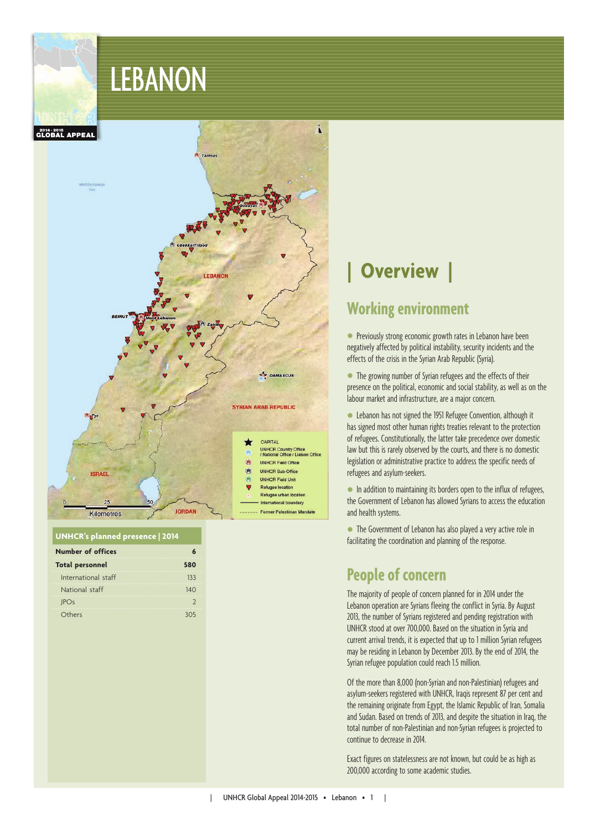LEBANON



#### **UNHCR's planned presence | 2014**

| <b>Number of offices</b> |     |
|--------------------------|-----|
| <b>Total personnel</b>   | 580 |
| International staff      | 133 |
| National staff           | 140 |
| <b>JPOs</b>              |     |
| Others                   | 305 |

# **| Overview |**

### **Working environment**

**•** Previously strong economic growth rates in Lebanon have been negatively affected by political instability, security incidents and the effects of the crisis in the Syrian Arab Republic (Syria).

• The growing number of Syrian refugees and the effects of their presence on the political, economic and social stability, as well as on the labour market and infrastructure, are a major concern.

 Lebanon has not signed the 1951 Refugee Convention, although it has signed most other human rights treaties relevant to the protection of refugees. Constitutionally, the latter take precedence over domestic law but this is rarely observed by the courts, and there is no domestic legislation or administrative practice to address the specific needs of refugees and asylum-seekers.

 $\bullet$  In addition to maintaining its borders open to the influx of refugees, the Government of Lebanon has allowed Syrians to access the education and health systems.

• The Government of Lebanon has also played a very active role in facilitating the coordination and planning of the response.

### **People of concern**

The majority of people of concern planned for in 2014 under the Lebanon operation are Syrians fleeing the conflict in Syria. By August 2013, the number of Syrians registered and pending registration with UNHCR stood at over 700,000. Based on the situation in Syria and current arrival trends, it is expected that up to 1 million Syrian refugees may be residing in Lebanon by December 2013. By the end of 2014, the Syrian refugee population could reach 1.5 million.

Of the more than 8,000 (non-Syrian and non-Palestinian) refugees and asylum-seekers registered with UNHCR, Iraqis represent 87 per cent and the remaining originate from Egypt, the Islamic Republic of Iran, Somalia and Sudan. Based on trends of 2013, and despite the situation in Iraq, the total number of non-Palestinian and non-Syrian refugees is projected to continue to decrease in 2014.

Exact figures on statelessness are not known, but could be as high as 200,000 according to some academic studies.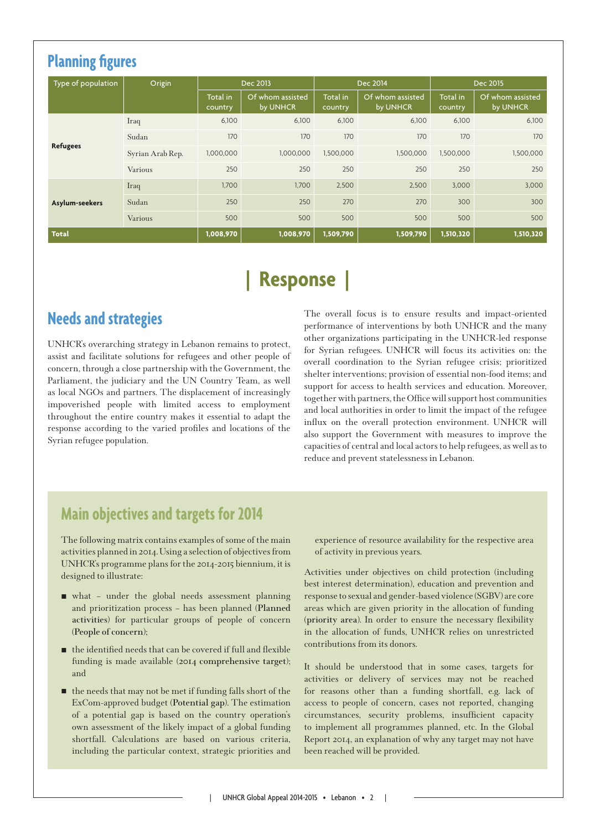| <b>Planning figures</b>      |                  |                     |                              |                     |                              |                     |                              |
|------------------------------|------------------|---------------------|------------------------------|---------------------|------------------------------|---------------------|------------------------------|
| Type of population<br>Origin |                  | Dec 2013            |                              | Dec 2014            |                              | Dec 2015            |                              |
|                              |                  | Total in<br>country | Of whom assisted<br>by UNHCR | Total in<br>country | Of whom assisted<br>by UNHCR | Total in<br>country | Of whom assisted<br>by UNHCR |
|                              | Iraq             | 6,100               | 6,100                        | 6,100               | 6,100                        | 6,100               | 6,100                        |
| <b>Refugees</b>              | Sudan            | 170                 | 170                          | 170                 | 170                          | 170                 | 170                          |
|                              | Syrian Arab Rep. | 1,000,000           | 1,000,000                    | 1,500,000           | 1,500,000                    | 1,500,000           | 1,500,000                    |
|                              | Various          | 250                 | 250                          | 250                 | 250                          | 250                 | 250                          |
| Asylum-seekers               | Iraq             | 1,700               | 1,700                        | 2,500               | 2,500                        | 3,000               | 3,000                        |
|                              | Sudan            | 250                 | 250                          | 270                 | 270                          | 300                 | 300                          |
|                              | <b>Various</b>   | 500                 | 500                          | 500                 | 500                          | 500                 | 500                          |
| <b>Total</b>                 |                  | 1,008,970           | 1,008,970                    | 1,509,790           | 1,509,790                    | 1,510,320           | 1,510,320                    |

# **| Response |**

## **Needs and strategies**

UNHCR's overarching strategy in Lebanon remains to protect, assist and facilitate solutions for refugees and other people of concern, through a close partnership with the Government, the Parliament, the judiciary and the UN Country Team, as well as local NGOs and partners. The displacement of increasingly impoverished people with limited access to employment throughout the entire country makes it essential to adapt the response according to the varied profiles and locations of the Syrian refugee population.

The overall focus is to ensure results and impact-oriented performance of interventions by both UNHCR and the many other organizations participating in the UNHCR-led response for Syrian refugees. UNHCR will focus its activities on: the overall coordination to the Syrian refugee crisis; prioritized shelter interventions; provision of essential non-food items; and support for access to health services and education. Moreover, together with partners, the Office will support host communities and local authorities in order to limit the impact of the refugee influx on the overall protection environment. UNHCR will also support the Government with measures to improve the capacities of central and local actors to help refugees, as well as to reduce and prevent statelessness in Lebanon.

### **Main objectives and targets for 2014**

The following matrix contains examples of some of the main activities planned in 2014. Using a selection of objectives from UNHCR's programme plans for the 2014-2015 biennium, it is designed to illustrate:

- what under the global needs assessment planning and prioritization process – has been planned (**Planned activities**) for particular groups of people of concern (**People of concern**);
- $\blacksquare$  the identified needs that can be covered if full and flexible funding is made available (**2014 comprehensive target**); and
- $\blacksquare$  the needs that may not be met if funding falls short of the ExCom-approved budget (**Potential gap**). The estimation of a potential gap is based on the country operation's own assessment of the likely impact of a global funding shortfall. Calculations are based on various criteria, including the particular context, strategic priorities and

experience of resource availability for the respective area of activity in previous years.

Activities under objectives on child protection (including best interest determination), education and prevention and response to sexual and gender-based violence (SGBV) are core areas which are given priority in the allocation of funding (**priority area**). In order to ensure the necessary flexibility in the allocation of funds, UNHCR relies on unrestricted contributions from its donors.

It should be understood that in some cases, targets for activities or delivery of services may not be reached for reasons other than a funding shortfall, e.g. lack of access to people of concern, cases not reported, changing circumstances, security problems, insufficient capacity to implement all programmes planned, etc. In the Global Report 2014, an explanation of why any target may not have been reached will be provided.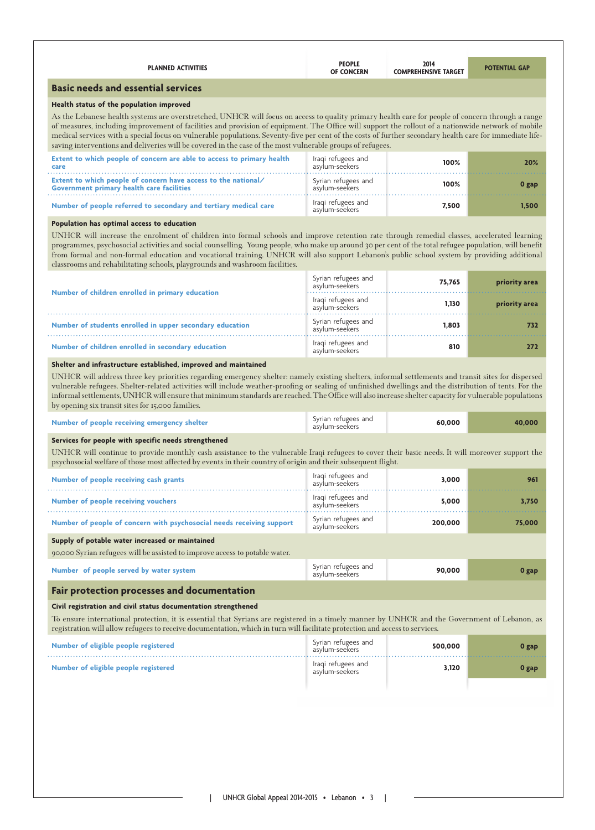| <b>PLANNED ACTIVITIES</b>                                                                                                                                                                                                                                                                                                                                                                                                                                                                                                                                                                                                                                                                                                                                                                                                                                                                                 | <b>PEOPLE</b><br><b>OF CONCERN</b>    | 2014<br><b>COMPREHENSIVE TARGET</b> | <b>POTENTIAL GAP</b> |
|-----------------------------------------------------------------------------------------------------------------------------------------------------------------------------------------------------------------------------------------------------------------------------------------------------------------------------------------------------------------------------------------------------------------------------------------------------------------------------------------------------------------------------------------------------------------------------------------------------------------------------------------------------------------------------------------------------------------------------------------------------------------------------------------------------------------------------------------------------------------------------------------------------------|---------------------------------------|-------------------------------------|----------------------|
| <b>Basic needs and essential services</b>                                                                                                                                                                                                                                                                                                                                                                                                                                                                                                                                                                                                                                                                                                                                                                                                                                                                 |                                       |                                     |                      |
| Health status of the population improved                                                                                                                                                                                                                                                                                                                                                                                                                                                                                                                                                                                                                                                                                                                                                                                                                                                                  |                                       |                                     |                      |
| As the Lebanese health systems are overstretched, UNHCR will focus on access to quality primary health care for people of concern through a range<br>of measures, including improvement of facilities and provision of equipment. The Office will support the rollout of a nationwide network of mobile<br>medical services with a special focus on vulnerable populations. Seventy-five per cent of the costs of further secondary health care for immediate life-<br>saving interventions and deliveries will be covered in the case of the most vulnerable groups of refugees.                                                                                                                                                                                                                                                                                                                         |                                       |                                     |                      |
| Extent to which people of concern are able to access to primary health<br>care                                                                                                                                                                                                                                                                                                                                                                                                                                                                                                                                                                                                                                                                                                                                                                                                                            | Iraqi refugees and<br>asylum-seekers  | 100%                                | 20%                  |
| Extent to which people of concern have access to the national/<br><b>Government primary health care facilities</b>                                                                                                                                                                                                                                                                                                                                                                                                                                                                                                                                                                                                                                                                                                                                                                                        | Syrian refugees and<br>asylum-seekers | 100%                                | 0 gap                |
| Number of people referred to secondary and tertiary medical care                                                                                                                                                                                                                                                                                                                                                                                                                                                                                                                                                                                                                                                                                                                                                                                                                                          | Iraqi refugees and<br>asylum-seekers  | 7,500                               | 1,500                |
| Population has optimal access to education                                                                                                                                                                                                                                                                                                                                                                                                                                                                                                                                                                                                                                                                                                                                                                                                                                                                |                                       |                                     |                      |
| UNHCR will increase the enrolment of children into formal schools and improve retention rate through remedial classes, accelerated learning<br>programmes, psychosocial activities and social counselling. Young people, who make up around 30 per cent of the total refugee population, will benefit<br>from formal and non-formal education and vocational training. UNHCR will also support Lebanon's public school system by providing additional<br>classrooms and rehabilitating schools, playgrounds and washroom facilities.                                                                                                                                                                                                                                                                                                                                                                      |                                       |                                     |                      |
| Number of children enrolled in primary education                                                                                                                                                                                                                                                                                                                                                                                                                                                                                                                                                                                                                                                                                                                                                                                                                                                          | Syrian refugees and<br>asylum-seekers | 75,765                              | priority area        |
|                                                                                                                                                                                                                                                                                                                                                                                                                                                                                                                                                                                                                                                                                                                                                                                                                                                                                                           | Iraqi refugees and<br>asylum-seekers  | 1,130                               | priority area        |
| Number of students enrolled in upper secondary education                                                                                                                                                                                                                                                                                                                                                                                                                                                                                                                                                                                                                                                                                                                                                                                                                                                  | Syrian refugees and<br>asylum-seekers | 1,803                               | 732                  |
|                                                                                                                                                                                                                                                                                                                                                                                                                                                                                                                                                                                                                                                                                                                                                                                                                                                                                                           |                                       |                                     |                      |
|                                                                                                                                                                                                                                                                                                                                                                                                                                                                                                                                                                                                                                                                                                                                                                                                                                                                                                           | Iraqi refugees and<br>asylum-seekers  | 810                                 |                      |
| Number of children enrolled in secondary education<br>Shelter and infrastructure established, improved and maintained                                                                                                                                                                                                                                                                                                                                                                                                                                                                                                                                                                                                                                                                                                                                                                                     |                                       |                                     | 272                  |
|                                                                                                                                                                                                                                                                                                                                                                                                                                                                                                                                                                                                                                                                                                                                                                                                                                                                                                           |                                       |                                     |                      |
|                                                                                                                                                                                                                                                                                                                                                                                                                                                                                                                                                                                                                                                                                                                                                                                                                                                                                                           | Syrian refugees and<br>asylum-seekers | 60,000                              | 40,000               |
|                                                                                                                                                                                                                                                                                                                                                                                                                                                                                                                                                                                                                                                                                                                                                                                                                                                                                                           |                                       |                                     |                      |
| UNHCR will address three key priorities regarding emergency shelter: namely existing shelters, informal settlements and transit sites for dispersed<br>vulnerable refugees. Shelter-related activities will include weather-proofing or sealing of unfinished dwellings and the distribution of tents. For the<br>informal settlements, UNHCR will ensure that minimum standards are reached. The Office will also increase shelter capacity for vulnerable populations<br>by opening six transit sites for 15,000 families.<br>Number of people receiving emergency shelter<br>Services for people with specific needs strengthened<br>UNHCR will continue to provide monthly cash assistance to the vulnerable Iraqi refugees to cover their basic needs. It will moreover support the<br>psychosocial welfare of those most affected by events in their country of origin and their subsequent flight. |                                       |                                     |                      |
|                                                                                                                                                                                                                                                                                                                                                                                                                                                                                                                                                                                                                                                                                                                                                                                                                                                                                                           | Iraqi refugees and<br>asylum-seekers  | 3,000                               | 961                  |
|                                                                                                                                                                                                                                                                                                                                                                                                                                                                                                                                                                                                                                                                                                                                                                                                                                                                                                           | Iraqi refugees and<br>asylum-seekers  | 5,000                               | 3,750                |
|                                                                                                                                                                                                                                                                                                                                                                                                                                                                                                                                                                                                                                                                                                                                                                                                                                                                                                           | Syrian refugees and<br>asylum-seekers | 200,000                             | 75,000               |
|                                                                                                                                                                                                                                                                                                                                                                                                                                                                                                                                                                                                                                                                                                                                                                                                                                                                                                           |                                       |                                     |                      |
|                                                                                                                                                                                                                                                                                                                                                                                                                                                                                                                                                                                                                                                                                                                                                                                                                                                                                                           |                                       |                                     |                      |
| Number of people receiving cash grants<br><b>Number of people receiving vouchers</b><br>Number of people of concern with psychosocial needs receiving support<br>Supply of potable water increased or maintained<br>90,000 Syrian refugees will be assisted to improve access to potable water.<br>Number of people served by water system                                                                                                                                                                                                                                                                                                                                                                                                                                                                                                                                                                | Syrian refugees and<br>asylum-seekers | 90,000                              | 0 gap                |
| Fair protection processes and documentation                                                                                                                                                                                                                                                                                                                                                                                                                                                                                                                                                                                                                                                                                                                                                                                                                                                               |                                       |                                     |                      |
|                                                                                                                                                                                                                                                                                                                                                                                                                                                                                                                                                                                                                                                                                                                                                                                                                                                                                                           |                                       |                                     |                      |
|                                                                                                                                                                                                                                                                                                                                                                                                                                                                                                                                                                                                                                                                                                                                                                                                                                                                                                           | Syrian refugees and<br>asylum-seekers | 500,000                             | 0 gap                |
| Civil registration and civil status documentation strengthened<br>To ensure international protection, it is essential that Syrians are registered in a timely manner by UNHCR and the Government of Lebanon, as<br>registration will allow refugees to receive documentation, which in turn will facilitate protection and access to services.<br>Number of eligible people registered<br>Number of eligible people registered                                                                                                                                                                                                                                                                                                                                                                                                                                                                            | Iraqi refugees and<br>asylum-seekers  | 3,120                               | 0 gap                |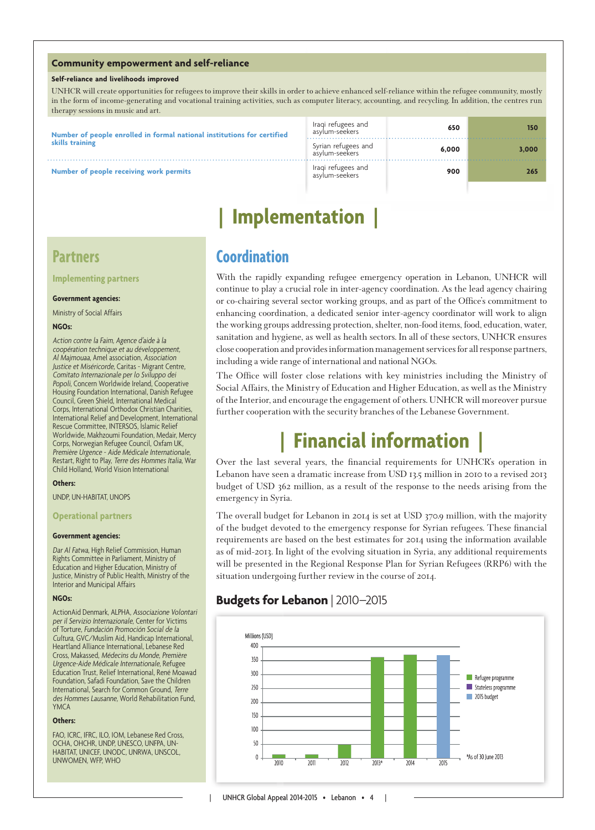#### **Community empowerment and self-reliance**

#### **Self-reliance and livelihoods improved**

UNHCR will create opportunities for refugees to improve their skills in order to achieve enhanced self-reliance within the refugee community, mostly in the form of income-generating and vocational training activities, such as computer literacy, accounting, and recycling. In addition, the centres run therapy sessions in music and art.

| Number of people enrolled in formal national institutions for certified<br>skills training | Iragi refugees and<br>asylum-seekers  | 650   | 150   |
|--------------------------------------------------------------------------------------------|---------------------------------------|-------|-------|
|                                                                                            | Syrian refugees and<br>asylum-seekers | 6.000 | 3.000 |
| Number of people receiving work permits                                                    | Iraqi refugees and<br>asylum-seekers  | 900   | 265   |

## **| Implementation |**

### **Partners**

**Implementing partners**

#### **Government agencies:**

Ministry of Social Affairs

#### **NGOs:**

Action contre la Faim, Agence d'aide à la coopération technique et au développement, Al Majmouaa, Amel association, Association Justice et Miséricorde, Caritas - Migrant Centre, Comitato Internazionale per lo Sviluppo dei Popoli, Concern Worldwide Ireland, Cooperative Housing Foundation International, Danish Refugee Council, Green Shield, International Medical Corps, International Orthodox Christian Charities, International Relief and Development, International Rescue Committee, INTERSOS, Islamic Relief Worldwide, Makhzoumi Foundation, Medair, Mercy Corps, Norwegian Refugee Council, Oxfam UK, Première Urgence - Aide Médicale Internationale, Restart, Right to Play, Terre des Hommes Italia, War Child Holland, World Vision International

#### **Others:**

UNDP, UN-HABITAT, UNOPS

#### **Operational partners**

#### **Government agencies:**

Dar Al Fatwa, High Relief Commission, Human Rights Committee in Parliament, Ministry of Education and Higher Education, Ministry of Justice, Ministry of Public Health, Ministry of the Interior and Municipal Affairs

#### **NGOs:**

ActionAid Denmark, ALPHA, Associazione Volontari per il Servizio Internazionale, Center for Victims of Torture, Fundación Promoción Social de la Cultura, GVC/Muslim Aid, Handicap International, Heartland Alliance International, Lebanese Red Cross, Makassed, Médecins du Monde, Première Urgence-Aide Médicale Internationale, Refugee Education Trust, Relief International, René Moawad Foundation, Safadi Foundation, Save the Children International, Search for Common Ground, Terre des Hommes Lausanne, World Rehabilitation Fund, YMCA

#### **Others:**

FAO, ICRC, IFRC, ILO, IOM, Lebanese Red Cross, OCHA, OHCHR, UNDP, UNESCO, UNFPA, UN-HABITAT, UNICEF, UNODC, UNRWA, UNSCOL, UNWOMEN, WFP, WHO

## **Coordination**

With the rapidly expanding refugee emergency operation in Lebanon, UNHCR will continue to play a crucial role in inter-agency coordination. As the lead agency chairing or co-chairing several sector working groups, and as part of the Office's commitment to enhancing coordination, a dedicated senior inter-agency coordinator will work to align the working groups addressing protection, shelter, non-food items, food, education, water, sanitation and hygiene, as well as health sectors. In all of these sectors, UNHCR ensures close cooperation and provides information management services for all response partners, including a wide range of international and national NGOs.

The Office will foster close relations with key ministries including the Ministry of Social Affairs, the Ministry of Education and Higher Education, as well as the Ministry of the Interior, and encourage the engagement of others. UNHCR will moreover pursue further cooperation with the security branches of the Lebanese Government.

# **| Financial information |**

Over the last several years, the financial requirements for UNHCR's operation in Lebanon have seen a dramatic increase from USD 13.5 million in 2010 to a revised 2013 budget of USD 362 million, as a result of the response to the needs arising from the emergency in Syria.

The overall budget for Lebanon in 2014 is set at USD 370.9 million, with the majority of the budget devoted to the emergency response for Syrian refugees. These financial requirements are based on the best estimates for 2014 using the information available as of mid-2013. In light of the evolving situation in Syria, any additional requirements will be presented in the Regional Response Plan for Syrian Refugees (RRP6) with the situation undergoing further review in the course of 2014.

### **Budgets for Lebanon** | 2010–2015